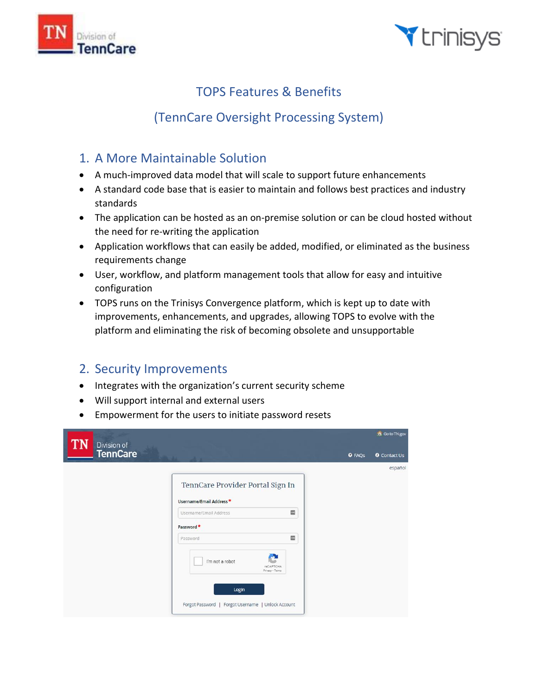



# TOPS Features & Benefits

# (TennCare Oversight Processing System)

## 1. A More Maintainable Solution

- A much-improved data model that will scale to support future enhancements
- A standard code base that is easier to maintain and follows best practices and industry standards
- The application can be hosted as an on-premise solution or can be cloud hosted without the need for re-writing the application
- Application workflows that can easily be added, modified, or eliminated as the business requirements change
- User, workflow, and platform management tools that allow for easy and intuitive configuration
- TOPS runs on the Trinisys Convergence platform, which is kept up to date with improvements, enhancements, and upgrades, allowing TOPS to evolve with the platform and eliminating the risk of becoming obsolete and unsupportable

## 2. Security Improvements

- Integrates with the organization's current security scheme
- Will support internal and external users
- Empowerment for the users to initiate password resets

| TN<br>Division of |                                                                                                                |                              | n Goto TN.gov       |
|-------------------|----------------------------------------------------------------------------------------------------------------|------------------------------|---------------------|
| <b>TennCare</b>   |                                                                                                                | <b>O</b> FAQS                | <b>O</b> Contact Us |
|                   |                                                                                                                |                              | español             |
|                   | TennCare Provider Portal Sign In<br>Username/Email Address*                                                    |                              |                     |
|                   | Username/Email Address                                                                                         | $\blacksquare$               |                     |
|                   | Password *                                                                                                     |                              |                     |
|                   | Password                                                                                                       | $\qquad \qquad \blacksquare$ |                     |
|                   | I'm not a robot<br>reCAPTCHA<br>Privacy - Terms<br>Login<br>Forgot Password   Forgot Username   Unlock Account |                              |                     |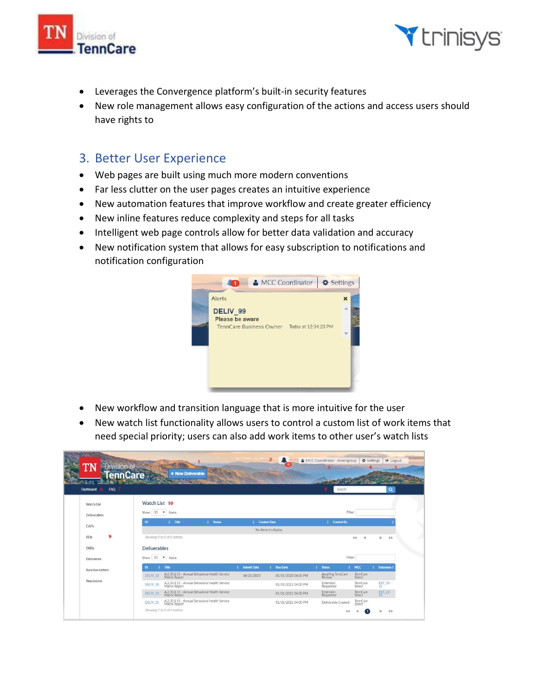



- Leverages the Convergence platform's built-in security features
- New role management allows easy configuration of the actions and access users should have rights to

#### 3. Better User Experience

- Web pages are built using much more modern conventions
- Far less clutter on the user pages creates an intuitive experience
- New automation features that improve workflow and create greater efficiency
- New inline features reduce complexity and steps for all tasks
- Intelligent web page controls allow for better data validation and accuracy
- New notification system that allows for easy subscription to notifications and notification configuration



- New workflow and transition language that is more intuitive for the user
- New watch list functionality allows users to control a custom list of work items that need special priority; users can also add work items to other user's watch lists

| ľN<br>Division of                       |                                                                                        | $\overline{2}$<br>12                  | MCC Coordinator - Amerigroup $\bigoplus$ Settings | □ Logout                                               |
|-----------------------------------------|----------------------------------------------------------------------------------------|---------------------------------------|---------------------------------------------------|--------------------------------------------------------|
| <b>TennCare</b><br>FAQ 7<br>Dashboard 6 | + New Deliverable                                                                      |                                       | Search<br>8                                       |                                                        |
| Watch List                              | Watch List 10                                                                          |                                       |                                                   | Q                                                      |
| Deliverables                            | Show $10$ $\blacktriangledown$ items                                                   |                                       | Filter:                                           |                                                        |
| CAPs                                    | <b>ID</b><br># Title<br><b>Status</b>                                                  | <b>Created Date</b>                   | <b>Created By</b>                                 |                                                        |
|                                         |                                                                                        | No items to display                   |                                                   |                                                        |
| 9<br><b>RFIs</b>                        | Showing 0 to 0 of 0 entries                                                            |                                       | 44                                                | b<br>$\rightarrow$<br>r                                |
| ORRs                                    | <b>Deliverables</b>                                                                    |                                       |                                                   |                                                        |
| Extensions                              | Show $10 \times$ items                                                                 |                                       | Filter:                                           |                                                        |
| <b>Sanction Letters</b>                 | Title<br>ID                                                                            | <b>Submit Date</b><br><b>Due Date</b> | MCC<br><b>Status</b>                              | <b>Extension</b>                                       |
|                                         | A.2.30.8.11 - Annual Behavioral Health Service<br>Matrix Report<br>DELIV <sub>32</sub> | 04/20/2020<br>01/01/2020 04:00 PM     | Awaiting TennCare<br>Review                       | TennCare<br>Select                                     |
| Rescissions                             | A.2.30.8.11 - Annual Behavioral Health Service<br>Matrix Report<br>DELIV_30            | 01/01/2021 04:00 PM                   | Extension<br>Requested                            | EXT_30-<br>TennCare<br>Select                          |
|                                         | A.2.30.8.11 - Annual Behavioral Health Service<br>DELIV <sub>22</sub><br>Matrix Report | 01/01/2021 04:00 PM                   | Extension<br>Requested                            | $\frac{[X]}{23}$ <sup>-22-</sup><br>TennCare<br>Select |
|                                         | A.2.30.8.11 - Annual Behavioral Health Service<br><b>DELIV 21</b><br>Matrix Report     | 01/01/2021 04:00 PM                   | Deliverable Created                               | TennCare<br>Select                                     |
|                                         | Showing 1 to 4 of 4 entries                                                            |                                       |                                                   | $\mathbb{H}$                                           |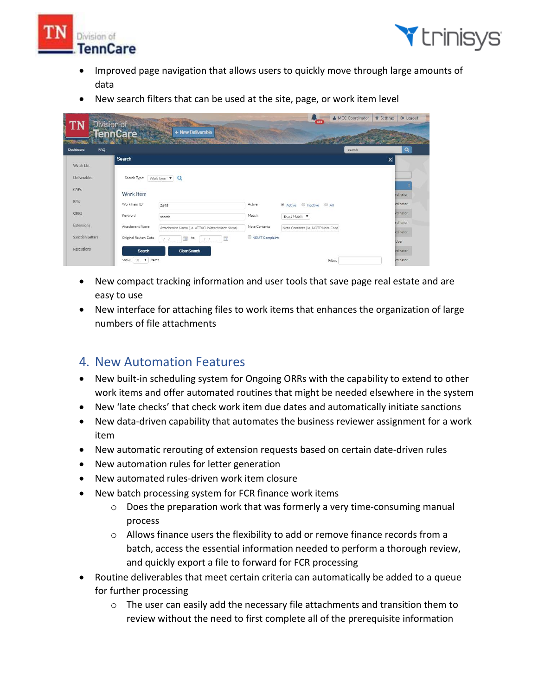



- Improved page navigation that allows users to quickly move through large amounts of data
- New search filters that can be used at the site, page, or work item level

| TN                          | Division of          |                                                                                     |                | 489                                | MCC Coordinator | <b>O</b> Settings<br><b>D</b> Logout |  |
|-----------------------------|----------------------|-------------------------------------------------------------------------------------|----------------|------------------------------------|-----------------|--------------------------------------|--|
| <b>BACK AND ARRANGEMENT</b> | <b>TennCare</b>      | + New Deliverable<br><b>RANGA CARTS</b>                                             |                |                                    |                 |                                      |  |
| Dashboard<br><b>FAQ</b>     |                      |                                                                                     |                |                                    | search          | Q                                    |  |
|                             | Search               |                                                                                     |                |                                    |                 | $\boxed{\mathbf{X}}$                 |  |
| Watch List                  |                      |                                                                                     |                |                                    |                 |                                      |  |
| <b>Deliverables</b>         | Search Type:         | Work Item $\mathbf{v}$ Q                                                            |                |                                    |                 |                                      |  |
| CAPs                        | Work Item            |                                                                                     |                |                                    |                 | <i>irdinator</i>                     |  |
| RFIs                        | Work Item ID         | 2695                                                                                | Active         | C Active C Inactive C All          |                 | <i><b>rdinator</b></i>               |  |
| ORRS                        | Keyword              | search                                                                              | Match          | Exact Match V                      |                 | rdinator                             |  |
| Extensions                  | Attachment Name      | Attachment Name (i.e. ATTACH:Attachment Name)                                       | Note Contents  | Note Contents (i.e. NOTE:Note Cont |                 | indinator                            |  |
| <b>Sanction Letters</b>     | Original Review Date | to.                                                                                 | NEMT Complaint |                                    |                 | rdinator                             |  |
|                             |                      | $\mathbb{R}$<br>$\overline{\phantom{a}}$<br>$\frac{1}{2}$<br>$J_{\rm m}/J_{\rm mm}$ |                |                                    |                 | User                                 |  |
| Rescissions                 | <b>Search</b>        | <b>Clear Search</b>                                                                 |                |                                    |                 | rdinator                             |  |
|                             | 10 V items<br>Show   |                                                                                     |                |                                    | Filter:         | irdinator                            |  |

- New compact tracking information and user tools that save page real estate and are easy to use
- New interface for attaching files to work items that enhances the organization of large numbers of file attachments

### 4. New Automation Features

- New built-in scheduling system for Ongoing ORRs with the capability to extend to other work items and offer automated routines that might be needed elsewhere in the system
- New 'late checks' that check work item due dates and automatically initiate sanctions
- New data-driven capability that automates the business reviewer assignment for a work item
- New automatic rerouting of extension requests based on certain date-driven rules
- New automation rules for letter generation
- New automated rules-driven work item closure
- New batch processing system for FCR finance work items
	- o Does the preparation work that was formerly a very time-consuming manual process
	- $\circ$  Allows finance users the flexibility to add or remove finance records from a batch, access the essential information needed to perform a thorough review, and quickly export a file to forward for FCR processing
- Routine deliverables that meet certain criteria can automatically be added to a queue for further processing
	- $\circ$  The user can easily add the necessary file attachments and transition them to review without the need to first complete all of the prerequisite information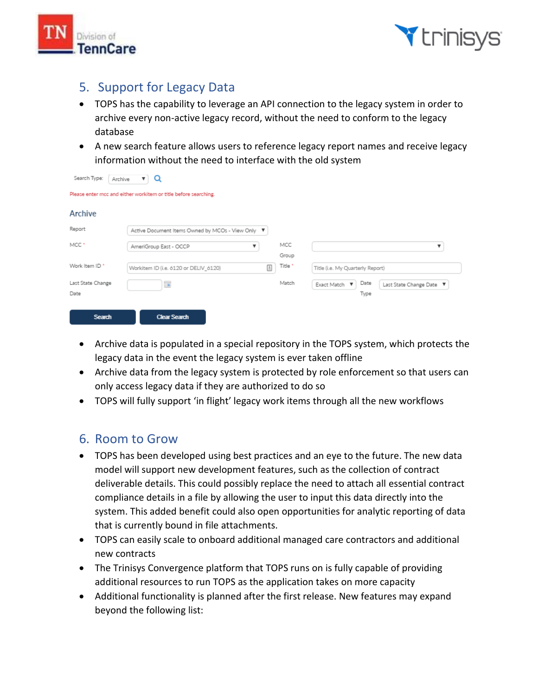



- TOPS has the capability to leverage an API connection to the legacy system in order to archive every non-active legacy record, without the need to conform to the legacy database
- A new search feature allows users to reference legacy report names and receive legacy information without the need to interface with the old system

|--|

Please enter mcc and either workitem or title before searching.

| Archive                   |                                                                       |              |                                  |                          |  |
|---------------------------|-----------------------------------------------------------------------|--------------|----------------------------------|--------------------------|--|
| Report                    | Active Document Items Owned by MCOs - View Only ▼                     |              |                                  |                          |  |
| MCC <sup>*</sup>          | AmeriGroup East - OCCP                                                | MCC<br>Group |                                  |                          |  |
| Work Item ID *            | Workitem ID (i.e. 6120 or DELIV_6120)<br>$\left  \frac{A}{m} \right $ |              | Title (i.e. My Quarterly Report) |                          |  |
| Last State Change<br>Date | $\overline{\phantom{a}}$                                              | Match        | Date<br>Exact Match<br>v<br>Type | Last State Change Date ▼ |  |
| Search                    | <b>Clear Search</b>                                                   |              |                                  |                          |  |

- Archive data is populated in a special repository in the TOPS system, which protects the legacy data in the event the legacy system is ever taken offline
- Archive data from the legacy system is protected by role enforcement so that users can only access legacy data if they are authorized to do so
- TOPS will fully support 'in flight' legacy work items through all the new workflows

### 6. Room to Grow

- TOPS has been developed using best practices and an eye to the future. The new data model will support new development features, such as the collection of contract deliverable details. This could possibly replace the need to attach all essential contract compliance details in a file by allowing the user to input this data directly into the system. This added benefit could also open opportunities for analytic reporting of data that is currently bound in file attachments.
- TOPS can easily scale to onboard additional managed care contractors and additional new contracts
- The Trinisys Convergence platform that TOPS runs on is fully capable of providing additional resources to run TOPS as the application takes on more capacity
- Additional functionality is planned after the first release. New features may expand beyond the following list: